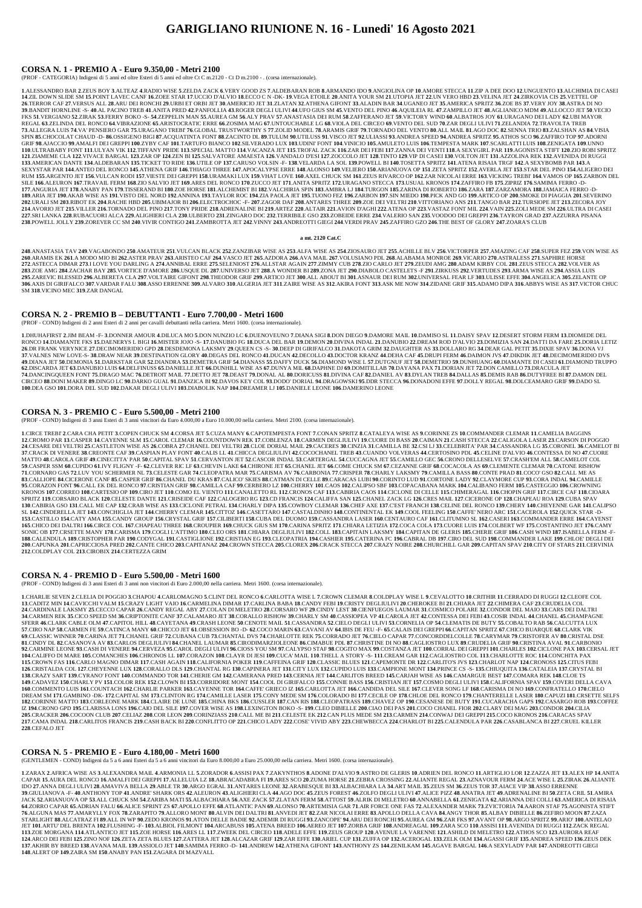#### **CORSA N. 1 - PREMIO A - Euro 9.350,00 - Metri 2100**

(PROF - CATEGORIA) Indigeni di 5 anni ed oltre Esteri di 5 anni ed oltre Ct C m.2120 - Ct D m.2100 - . (corsa internazionale).

1 ALESSANDRO BAR 2 ZEUS BOY 3 ALTEAZ 4 RADIO WISE 5 ZELDA ZACK 6 VERY GOOD ZS 7 ALDEBARAN ROB 8 ARMANDO IDO 9 ANGIOLINA OP 10 AMORE STECCA 11 ZIP A DEE DOO 12 UNGUENTO 13 ALCHIMIA DI CASEI 14.ZIL DOWN SLIDE SM 15.POINT LAVEC CANF 16.ZOEE STAR 17.UCCIO D'ALVIO 18.ECCO C N -DK- 19.VEGA ETOILE 20.ANITA YOUR SM 21.UTOPIA JET 22.UN VERO HBD 23.VELINA JET 24.ZIRKOVIA CIS 25.VETTEL OP 26.TERROR CAF 27.VERSUS ALL 28.ARU DEI RONCHI 29.URBI ET ORBI JET 30.AMERICIO JET 31.ZLATAN 32.ATHENA GIFONT 33.ALADIN BAR 34.UGANEO JET 35.AMERICA SPRITZ 36.ZOE BS 37.VERY JOY 38.ASTRA DI NO 39.BANDIT HORNLINE -S-40.AL PACINO TREB 41.ANITA PRED 42.PANFOLLIA 43.ROGER DEGLI ULIVI 44.UFO GIUS SM 45.VENTO DEL PINO 46.AQUILEIA RL 47.ZAMPILLO JET 48.AGLIANICO MDM 49.ALLOCCO JET 50.VECIO FKS 51.VERGIANO 52.ZIRAK 53.FERRY BOKO -S- 54.ZEPPELIN MAN 55.AUREA GM 56.ALY PRAV 57.ANASTASIA DEI RUM 58.ZAFFERANO JET 59.VICTORY WIND 60.ALBATROS JOY 61.URAGANO DEI LADY 62.UBI MAYOR REGAL 63.ZELINDA DEL RONCO 64.VIBRAZIONE 65.ARISTOCRATIC ERRE 66.ZOSIMA MAG 67.UNTOUCHABLE LG 68.VIOLA DEL CIRCEO 69.VENTO DEL SUD 70.ZAR DEGLI ULIVI 71.ZELANDIA 72.TRAVOLTA TREB 73.ALLEGRA LUIS 74.VA' PENSIERO GAR 75.URAGANO TREBI' 76.GLOBAL TRUSTWORTHY S 77.ZOLID MODEL 78.ARAMIS GRIF 79.TORNADO DEL VENTO 80.ALL MAIL 81.AGO DOC 82.SENNA TRIO 83.ZALSHAN AS 84.VISIA SPIN 85.CHOCOLAT CHAUD -D- 86.OSSIGENO BIGI 87.ACQUATINTA FONT 88.ZACINTO DL 89.TULUM 90.UTILUSS 91.VISCO JET 92.ULIASSI 93.ANDREA SPEED 94.ANDREA SPRITZ 95.ATHOS SCO 96.ZAFFIRO TOP 97.ADORNI GRIF 98.AJACCIO 99.AMALFI DEI GREPPI 100.ZYBY CAF 101.TARTUFO BIANCO 102.SILVERADO LUX 103.UDINI' FONT 104.VINICIO 105.AMULETO LUIS 106.TEMPESTA MARK 107.SCARLATTI LUIS 108.ZENIGATA 109.UNNO 110.ULTRABABY FONT 111.ULYAN VIK 112.TIFFANY PRIDE 113.SPECIAL MATTO 114.VACANZA JET 115.TROFAL ZACK 116.ZAR DEI FEBI 117.ZANNA DEI VENTI 118.A SEXYGIRL PAR 119.AGONISTA STIFT 120.ZIO ROBI SPRITZ 121.ZIAMEME CLA 122.VIVACE BARGAL 123.ZAR OP 124.ZEN BI 125.SALVATORE AMAESTA 126.VANDALO DESI 127.ZOCCOLO JET 128.TINTO 129.VIP DI CASEI 130.VOLTON JET 131.AZZOLINA REK 132.AVENIDA DI RUGGI 133.AMERICAN DANTE 134.ALDEBARAN 135.TICKET TO RIDE 136.UTILE OP 137.CARUSO VOLSIN -F- 138.VELARDA LA SOL 139.POWELL BI 140.TOSETTA SPRITZ 141.ATENA RISAIA TRGF 142.A SEXYBOMB PAR 143.A SEXYSTAR PAR 144.ANTEO DEL RONCO 145.ATHENA GRIF 146.THIAGO THREE 147.APOCALYPSE ERRE 148.ALONSO 149.VELIERO 150.ARIANUOVA OP 151.ZETA SPRITZ 152.AVERLA JET 153.STAR DEL PINO 154.ALIGERO DEI RUM 155.ARGENTO JET 156.VULCAN RODI 157.VIESTE DEI GREPPI 158.URAMAKI LUX 159.VHAT LOVE 160.AXEL CHUCK SM 161.ZEUS RIVARCO OP 162.ZAR NICOLAI ERRE 163.VICKING TREBI' 164.VAMOS OP 165.ZARBON DEL SILE 166.ALEURON 167.TRAVAIL FERM 168.ZIO SALVIO JET 169.ARES DEL RONCO 170.ZUCCO JET 171.ANITA SPRITZ 172.URAGANO STECCA 173.USUAL KRONOS 174.ZAFFIRO FB 175.ZIPRIZ 176.SAMIMA FERRO -D-177.ANGURIA JET 178.ANABY PAN 179.TISSERAND BI 180.ZOE HORSE 181.ALCHEMIST BI 182.VALCHIRIA SPIN 183.AMBRA LJ 184.TURGON 185.ZARINA DI ROBERTO 186.ZARA 187.ZARZAMORA 188.JAMAICA FERRO -D-189.ARIA JET 190.AKAB WISE AS 191.VISTO DEL NORD 192.ANNINA 193.TAYLOR ROC 194.ZIA PAOLA JET 195.TUONO FEZ 196.ZARBON 197.SIN MIEDO 198.PICK AND GO 199.ARTICO OP 200.SMOKE DI PIAGGIA 201.SEVERINO 202.URALI SM 203.RIBOT EK 204.RACHE HBD 205.UBIMAJOR BI 206.ELECTROCHOC -F- 207.ZAGOR DAF 208.ANTARES THREE 209.ZOE DEI VELTRI 210.VITTORIANO ANS 211.TANGO BAR 212.TURSIOPE JET 213.ZECORA JOY 214.AVORIO JET 215.VILLER 216.TORNADO DEL PINO 217.TONY PRIDE 218.ADRENALINE BI 219.ARTEZ 220.ALTAIR 221.AVION D'AGHI 222.ATENA OP 223.VASTAZ FONT MIL 224.VAIN 225.ZOLI MEDE SM 226.ULTRA DI CASEI 227.SRI LANKA 228.RUBACUORI ALCA 229.ALIGHIERI CLA 230.ULBERTO 231.ZINGARO DOC 232.TERRIBILE GSO 233.ZOBEIDE ERRE 234.VALERIO SAN 235.VOODOO DEI GREPPI 236.TAYRON GRAD 237.AZZURRA PISANA 238.POWELL JOLLY 239.ZOREVER CC SM 240.VIVIR CONTIGO 241.ZAMBROTTA JET 242.VINNY 243.ANDREOTTI GIEGI 244.VERDI PRAV 245.ZAFFIRO GZO 246.THE BEST OF GLORY 247.ZOARA'S CLUB

248.ANASTASIA TAV 249.VAGABONDO 250.AMATEUR 251.VULCAN BLACK 252.ZANZIBAR WISE AS 253.ALFA WISE AS 254.ZIOSAURO JET 255.ACHILLE BLV 256.VICTORPER 257.AMAZING CAF 258.SUPER FEZ 259.VON WISE AS 260.ARAMIS EK 261.A MODO MIO BI 262.ASTER PRAV 263.ARISTEO CAF 264.VASCO JET 265.AZDORA 266.AVA MAIL 267.VOLUSIANO PDL 268.ALABAMA MONROE 269.VICARIO 270.ASTRALESS 271.SAPHIRE HORSE 272.ASTECCA DIMAR 273.I LOVE YOU DARLING A 274.ANNIBAL ERRE 275.SELENIOST 276.ALLSTAR AGAIN 277.ZIMMY CUB 278.ZIO CARLO JET 279.ZEUDI AMG 280.ADAM KIRBY COL 281.ZEUS STECCA 282.VOLVER AS 283.ZOE AMG 284.ZACHAR BAY 285.VORTICE D'AMORE 286.USQUE DL 287.UNIVERSO JET 288.A WONDER BI 289.ZONA JET 290.DIABOLO CASTELETS -F 291.ZIRKUSS 292.VERTUDES 293.ARMA WISE AS 294.ASSIA LUIS 295.ZAREVIC BLESSED 296.ALBERETA CLA 297.VOLTAIRE GIFONT 298.THEODOR GRIF 299.ARTICO JET 300.ALL ABOUT BI 301.ASNAUR DEI RUM 302.UNIVERSAL FEAR LF 303.ULISSE EFFE 304.ANGELICA 305.ZELANTE OP 306.AXIS DI GIRIFALCO 307.VARDAR FALU 308.ASSO ERRENNE 309.ALVARO 310.ALGERIA JET 311.ZAIRE WISE AS 312.AKIRA FONT 313.ASK ME NOW 314.ZIDANE GRIF 315.ADAMO DIPA 316.ABBYS WISE AS 317.VICTOR CHUC SM **318**.VICINO MEC **319**.ZAR DANGAL

1.DHUHAFIRST 2.JIM BEAM -F-3.DONNER AMOUR 4.DILUCA MO 5.DON NUNZIO LC 6.DUENOVEUNO 7.DIANA SIGI 8.DON DIEGO 9.DAMORE MAIL 10.DAMISO SL 11.DAISY SPAV 12.DESERT STORM FERM 13.DIOMEDE DEL RONCO 14.DIAMANTE FKS 15.DAENERYS L BIGI 16.MISTER JOJO -S- 17.DANUBIO FG 18.DUCA DEL BAR 19.DEMON 20.DIVINA INDAL 21.DANUBIO 22.DREAM ROD D'ALVIO 23.DOMIZIA SAN 24.DATTI DA FARE 25.DORIA LETIZ 26.DR FRANK VERYNICE 27.DECIMOMERIDIO GPD 28.DESDEMONA LAKSMY 29.QUEEN CS -S- 30.DEEP DI GIRIFALCO 31.DAKOTA GRIM 32.DAUGHTER AS 33.DOLLARO RG 34.DEAR GAL PETIT 35.DIXIE SPAV 36.DONA VJ 37.VALNES NEW LOVE-S- 38.DRAW NEAR 39.DESTINATION GLORY 40.DEGAS DEL RONCO 41.DUCAN 42.DECOLLO 43.DOCTOR KRANZ 44.DEHA CAF 45.DRUPI FERM 46.DAIMON JVS 47.DIKDIK JET 48.DECIMOMERIDIO DVS 49.DIANA JET 50.DEMONIA 51.DARKSTAR GAR 52.DIANDRA 53.DEMETRA GRIF 54.DIANASS 55.DAFFY DUCK 56.DIAMOND WISE L 57.DUTGNUF JET 58.DEMETRIO 59.DUNHUANG 60.DIAMANTE DI CASEI 61.DIAMOND TRUPPO 62.DISCARDA JET 63.DANUBIO LUIS 64.DELFINUSS 65.DANIELLE JET 66.DUNHILL WISE AS 67.DUNYA MIL 68.DAPHNE DJ 69.DOMITILLAB 70.DAYANA PAX 71.DORIAN JET 72.DON CAMILLO 73.DRACULA JET 74.DANCINGQUEEN FONT 75.DRAGO MAC 76.DETROIT MAIL 77.DETTO JET 78.DEAST 79.DONAL AL 80.DORICUSS 81.DIVINA CAF 82.DANIEL AV 83.DYLAN TREB 84.DALLAS 85.DEMIS RAB 86.DUTYFREE BI 87.DAMON DEL CIRCEO 88.DONI MAKER 89.DINGO LC 90.DARKO GUAL 91.DANZICA BI 92.DAVOS KEY COL 93.DODO' DORIAL 94.DRAGOWSKI 95.DDR STECCA 96.DONADONI EFFE 97.DOLLY REGAL 98.DOLCEAMARO GRIF 99.DADO SL **100**.DEA GSO **101**.DORA DEL SUD **102**.DAKAR DEGLI ULIVI **103**.DIABOLIK NAP **104**.DREAMER LJ **105**.DANIELE LEONE **106**.DAMERINO LEONE

#### **a mt. 2120 Cat.C**

1.CIRCE TREBI 2.CARA CHA PETIT 3.COPEN CHUCK SM 4.CORSA JET 5.CUZA MANY 6.CAPOTEMPESTA FONT 7.CONAN SPRITZ 8.CATALEYA WISE AS 9.CORINNE ZS 10.COMMANDER CLEMAR 11.CAMELIA BAGGINS 12.CROMO PAR 13.CASPER 14.CAYENNE SLM 15.CAROL CLEMAR 16.COUNTDOWN REK 17.COBLENZA 18.CARMEN DEGLIULIVI 19.CUORE DI BASS 20.CAIMAN 21.CASH STECCA 22.CALIGOLA LASER 23.CARSON DI POGGIO 24.CESARE DEI VELTRI 25.CASTLETON WISE AS 26.COBRA 27.CHANEL DEI VELTRI 28.CLOE DORIAL MAIL 29.CACERES 30.CINZIA 31.CAMILLA BE 32.CSI LJ 33.CELEBRITA' PAR 34.CASSANDRA LG 35.CORONEL 36.CAMELOT BI 37. CRACK DI VENERE 38. CREONTE CAF 39. CASPIAN PLAY FONT 40. CALIS LL 41. CHICCA DEGLIULIVI 42. COCOCHANEL TREB 43. CUANDO VOLVERAS 44. CERTOSINO PDL 45. CELINE D'ALVIO 46. CONTESSA DI NO 47. CUORE MATTO 48.CAROLA GRIF 49.CINECITTA' PAR 50.CAPITAL SPAV 51.CERVANTON JET 52.CASCOR INDAL 53.CARTERGAL 54.CUCCAGNA JET 55.CAMILLO GEC 56.CRONO DELLESELVE 57.CRASH'EM ALL 58.CAMELOT COL 59. CASPER SSM 60. CUPIDO 61.IVY FLIGNY -F- 62. CLEVER RIC LF 63. CHEVIN LAKE 64. CHIRONE JET 65. CHANEL JET 66. COME CHUCK SM 67. CEZANNE GRIF 68. COCACOLA AS 69. CLEMENTE CLEMAR 70. CATONE RISHOW 71.CORNARO GAS 72.LUV YOU SCHERMER NL 73.CELESTE GAR 74.CLEOPATRA MAR 75.CARISMA AV 76.CARBONIA 77.CRISPER 78.CHARLY LAKSMY 79.CAMILLA BASS 80.CONTE PRAD 81.COCO'GSO 82.CALL ME AS 83.CALLIOPE 84.CICERONE CANF 85.CASPER GRIF 86.CHANEL DU KRAS 87.CALICO' SKIES 88.CATMAN DI CELLE 89.CARACAS LUBI 90.CORINTO LUD 91.CORTONE LADY 92.CLAYMORE CUP 93.CORA INDAL 94.CAMILLE 95.CORAZON FONT 96.CALL EK DEL RONCO 97.CRISTIAN GRIF 98.CAMILLA CAF 99.CERBERO LZ 100.CHERRY 101.CAOS 102.CALIPSO SBF 103.COPACABANA MARK 104.CALIBANO FERM 105.CASTEGGIO 106.CROWNING KRONOS 107.CORREO 108.CARTESIO OP 109.CIRO JET 110.COMO EL VIENTO 111.CANALETTO RL 112.CRONOS CAF 113.CABIRIA CAOS 114.CICLONE DI CELLE 115.CHIMERAGAL 116.CHOPIN GRIF 117.CIRCE CAF 118.CIOARA SPRITZ 119.CORSARO BLACK 120.CELESTE DANTE 121.CRISEIDE CAF 122.CALOGERO RG 123.CD FRANCIS 124.CALIFFA SAN 125.CHANEL ZACK LG 126.CRES MAIL 127.CICERONE OP 128.CHAPEAU ROA 129.CUBA SPAV 130.CABIRIA GSO 131.CALL ME CAP 132.CRAB WISE AS 133.CICLONE PETRAL 134.CHARLY DIPA 135.COWBOY CLEMAR 136.CHEF AXE 137.CEST FRANCH 138.CELINE DEL RONCO 139.CHERY 140.CHEYENNE GAR 141.CALIPSO SL 142.CINDERELLA JET 143.CONCHIGLIA JET 144.CHERRY CLEMAR 145.CITTOZ 146.CASETTARO 147.CASTALDINHO 148.CONTINENTAL EK 149.COOL FEELING 150.CAFFE' NERO ARC 151.CACEROLA 152.QUICK STAR -D-153.CASTILLO 154.CATY AMA 155.CANDY GROUP 156.CRYSTAL GRIF 157.CILIBERTI 158.CUBA DEL DUOMO 159.CASSANDRA LASER 160.CENTAURO CAF 161.CLITUMNO SL 162.CASERI 163.COMMANDER ERRE 164.CAYENST 165.CHICO DEI DALTRI 166.CIRCE COL 167.CHAPEAU THREE 168.CROUPIER 169.CHUCK GIUS SM 170.CARINA SPRITZ 171.CHIARA LETIZIA 172.COCA COLA 173.CUORE LUIS 174.COLBERT WF 175.COSTANTINO JET 176.CAMY SONIC OB 177.CRSETTE MANY 178.CARISMA 179.COGLI L'ATTIMO 180.CLEO ORS 181.CHIARA DEGLIULIVI 182.COLL 183.CAPITAIN LAKSMY 184.CAPITAN DE GLERIS 185.CHERIE GRIF 186.CASH WIND 187.ISABELLA FERM -F-188.CALENDULA 189.CRISTOPHER PAR 190.CODYGAL 191.CASTIGLIONE 192.CRISTIAN EG 193.CLEOPATRIA 194.CASHIER 195.CATERINA FC 196.CABRAL DB 197.CIRO DEL SUD 198.COMMANDER LAKE 199.CHLOE' DEGLI DEI 200.CAPUNKA 201.CAPRICCIOSA PRED 202.CANTE CHICO 203.CAPITANAZ 204.CROWN STECCA 205.CLOREX 206.CRACK STECCA 207.CRAZY NOIRE 208.CHURCHILL GAR 209.CAPITAN SPAV 210.CITY OF STARS 211.CERVINIA **212**.COLDPLAY COL **213**.CIROBIX **214**.CERTEZZA GRIM

### **CORSA N. 2 - PREMIO B – DEBUTTANTI - Euro 7.700,00 - Metri 1600**

(PROF - COND) Indigeni di 2 anni Esteri di 2 anni per cavalli debuttanti nella carriera. Metri 1600. (corsa internazionale).

# **CORSA N. 3 - PREMIO C - Euro 5.500,00 - Metri 2100**

(PROF - COND) Indigeni di 3 anni Esteri di 3 anni vincitori da Euro 4.000,00 a Euro 10.000,00 nella carriera. Metri 2100. (corsa internazionale).

160. COMMENTO LUIS 161. COUNTACH 162. CHARLIE PARKER 163. CAYENNE TOR 164. CAFFE' GRIECO IZ 165. CARLOTTA JET 166. CANDIDA DEL SILE 167. CLEVER SONG LF 168. CARISMA DI NO 169. CONFRATELLO 170. CIELO DREAM SM 171.GAMBINO -DK- 172.CAPITAL SM 173.CLINTON RG 174.CAMILLE LASER 175.CONY MEDE SM 176.COLORADO BI 177.CECILE OP 178.CHLOE DEL RONCO 179.CHANTERELLE LASER 180.CAPUZI 181.CRSETTE SELFS 182.CORINNE MATTO 183.CORLEONE MARK 184.CLAIRE DE LUNE 185.CHINA BKS 186.CUSSLER 187.CAN RIS 188.CLEOPATRASS 189.CHAVEZ OP 190.CESANESE DE BUTY 191.CUCARACHA GAPS 192.CASARGO ROB 193.COFFEE IZ 194.CRONO GPD 195.CLARISSA LONS 196.CAIO DEL SILE 197.COVER WISE AS 198.LEXINGTON BOKO -S- 199.CLEO DIBIELLE 200.CIAO DEI PAS 201.COCO CHANEL FIOR 202.CLARY DEI MAG 203.CONDOR 204.CILIA 205.CRACKER 206.COCOON CLUB 207.CELIAZ 208.COR LEON 209.CORINZIASS 210.CALL ME BI 211.CELESTE EK 212.CAN PLUS MEDE SM 213.CARMEN 214.CONWAJ DEI GREPPI 215.COCO KRONOS 216.CARACAS SPAV 217.CAMA INDAL 218.CARLITOS FRANCIS 219.CASH BACK BI 220.CONFLITTO OP 221.CHICO LADY 222.COSE' VIVID ABY 223.CHEWBECCA 224.CHARLOT BI 225.CALENDULA PAR 226.CASABLANCA BI 227.CRUEL KILLER **228**.CEFALO JET

1.ZARAX 2.AFRICA WISE AS 3.ALEXANDRA MAIL 4.ARMONIA LL 5.ZORADOR 6.ASSISI PAX 7.ZAKYNTHOS 8.ADONE D'ALVIO 9.ASTRO DE GLERIS 10.ADRIEN DEL RONCO 11.ARTIGLIO LOR 12.ZAZZA JET 13.ALEX HP 14.ANITA CAPAR 15.AURA DEL RONCO 16.AMALFI DEI GREPPI 17.ALLELUIA LZ 18.ABRACADABRA FI 19.ARES SCO 20.ZUMA HORSE 21.ZEBRA CROSSING 22.ALIANTE REGAL 23.AZNAVOUR FERM 24.ACE WISE L 25.ZIRAK 26.ALIANTE IDO 27.ANNA DEGLI ULIVI 28.AMAVIVA BELLA 29.ABLE TR 30.ARGO EGRAL 31.ANTARES LEONE 32.ARABESQUE BI 33.ALBACHIARA LA 34.ART MAIL 35.ZEUS SM 36.ZEUS TOR 37.AIACE VIP 38.ASSO ERRENNE 39. GIULIANOVA -F- 40. ANTHONY TOP 41. ANDRE' SHARK ORS 42. ALEURON 43. ALIGHIERI CLA 44.AGO DOC 45.ZEUS FOREST 46.ZOLFO DEGLI ULIVI 47. ALICE PIZZ 48. ANATRA JET 49. ADRENALINE BI 50.ZETA CRIL 51. AMIRA JACK 52.ARIANUOVA OP 53.ALL CHUCK SM 54.ZARIBA MATI 55.ALBACHIARA 56.AXE ZACK 57.ZLATAN FERM 58.ATTOST 59.ALRIK DI MELETRO 60.ANNABELLA 61.ZENIGATA 62.ARIANNA DEI COLLI 63.AMERICA DI RISAIA 64.ZORRO CAPAR 65.ADRIAN FALU 66.ALICE SPRINT ZS 67.APOLLO EFFE 68.ATLANTIC PAN 69.ALONSO 70.ARTEMISIA GAR 71.AIR FORCE ONE FAS 72.ALEXANDER MARK 73.ZVICTORIA 74.AARON STAF 75.AGONISTA STIFT 76.ALGUNA MAS 77.AMARYLLY FOX 78.ZARAPITO 79.ALLORO MONT 80.ALVIN DEI DALTRI 81.ANVEDI JET 82.ZAR NICOLAI ERRE 83.APOLLO DELLA CAVA 84.ANGY THOR 85.ALBAY DIBIELLE 86.ZEFIRO MOON 87.ZAZA STARLIGHT 88.ALCATRAZ FI 89.ALL IN WP 90.ZEDO KRONOS 91.ATON DELLE BADIE 92.ADEMIR DI RUGGI 93.ZANCOPE' 94.ARU DEI RONCHI 95.AUREA GM 96.ZAR FKS 97.AVANT OP 98.ARGO SPRITZ 99.ARIO' 100.ANTELAO JET 101.ARTU' DEL BRENTA 102.FLUSHING -F- 103.ALBIOL FILMONT 104.ARCABUSS 105.ATENA BREED 106.AEREO JET 107.ZORBA GRIF 108.ANDREAGAL 109.ZARA SCO 110.ASSISI 111.AVENIDA DI RUGGI 112.ZACK REGAL 113.ZOE MORGANA 114.ATLANTICO JET 115.ZOE HORSE 116.ARES LL 117.ZWEEK DEL CIRCEO 118.ADELE EFFE 119.ZEUS GROUP 120.AVENUE LA VARENNE 121.ASHILD DI MELETRO 122.ATHOS SCO 123.AURORA REAF 124.ARCO DEI FEBI 125.ZINO NOF 126.ZETA ZETA BLUES 127.ZATTERA JET 128.ALCAZAR GRIF 129.ZAR EFFE 130.ARIEL CUP 131.ZUFFA OP 132.ACEROGAL 133.ZELK OLM 134.AGASSI GRIF 135.ANDREA SPEED 136.ZEUS DEK 137.AKHIR BY BREED 138.AVANA MAIL 139.ASSIOLO JET 140.SAMIMA FERRO -D- 141.ANDREW 142.ATHENA GIFONT 143.ANTHONY ZS 144.ZENILKAM 145.AGAVE BARGAL 146.A SEXYLADY PAR 147.ANDREOTTI GIEGI **148**.ALERT OP **149**.ZAIRA SM **150**.ANABY PAN **151**.ZAGARA DI MAZVALL

#### **CORSA N. 4 - PREMIO D - Euro 5.500,00 - Metri 1600**

(PROF - COND) Indigeni di 3 anni Esteri di 3 anni non vincitori di Euro 2.000,00 nella carriera. Metri 1600. (corsa internazionale).

1. CHARLIE SEVEN 2.CLELIA DI POGGIO 3.CHAPOU 4.CARLOMAGNO 5.CLINT DEL RONCO 6.CARLOTTA WISE L 7.CROWN CLEMAR 8.COLDPLAY WISE L 9.CEVALOTTO 10.CRITHIR 11.CERRADO DI RUGGI 12.CLEOFE COL 13. CADITZ MIN 14. CAVICCHI VALM 15. CRAZY LIGHT VAIO 16. CARMELINA DIMAR 17. CARLINA BABA 18. CANDY FEBI 19. CRISTY DEGLIULIVI 20. CHEROKEE BI 21. CHIARA JET 22. CHIMERA CAF 23. CRUDELIA COL 24.CARDINALE LAKSMY 25.CECCO CAPAR 26.CANDY REGAL ABY 27.COLAN DI MELETRO 28.CORSARO WF 29.CINDY LEST 30.CIENFUEGOS LAUMAR 31.COSMICO POLARE 32.CONDOR DEL MAIO 33.CARS DEI DALTRI 34.CARMEN REK 35.CICO SPEED SM 36.CRIPTONITE CANF 37.CALAMARO JET 38.CORALLO RISHOW 39.CHARLY SM 40.CASSIOPEA VP 41.CAROLA JET 42.CONTESSA DEI FEBI 43.COSIR INDAL 44.CHANEL 45.CHAMPAGNE SFERR 46.CLARK CABLE OLM 47.CAPITOL HILL 48.CAYETANA 49.CRASH LEONE 50.CENOTE MAIL 51.CASSANDRA 52.CIELO DEGLI ULIVI 53.CORNELIA OP 54.CLEMATIS DE BUTY 55.COBALTO RAB 56.CALCUTTA LUX 57.CIRO NAP 58.CARMEN FE 59.CATINCA MANY 60.CHICCO JET 61.OBSESSION BO -D- 62.COCO MARIN 63.CAVANI AV 64.IBIS DE FEU -F- 65.CALAIS DEI GREPPI 66.CAPITAN SPRITZ 67.CHICO BUARQUE 68.CLARK VIK 69 CLASSIC WINNER 70 CARINA JET 71 CHANEL GRIF 72 CUBANA CUB 73 CHANTAL DVS 74 CHARLOTTE REK 75 CORRADO JET 76 CIELO CAPAR 77 CONCORDDELCOLLE 78 CARYMAR 79 CRISTOFER AV 80 CRISTAL DSE 81.CINDY DL 82.CASANOVA AV 83.CARLOS DEGLIULIVI 84.CHANEL LAUMAR 85.CIRODIMARZIOLEONE 86.CIMABUE PDL 87.CHRISTINE DI NO 88.CAGLIOSTRO LUX 89.CRUDELIA GRIF 90.CRISTINA AVAL 91.CARBONIO 92.CARMINE LEONE 93.CASH DI VENERE 94.CERVEZA 95.CAROL DEGLI ULIVI 96.CIOSS YOU SM 97.CALYPSO STAF 98.COGITO MAX 99.COSTANZA JET 100.CORRAL DEI GREPPI 101.CHARLES 102.CICLONE PAX 103.CERSAL JET 104.CALIFFO DI MARE 105.COMANCHES 106.CHRONOS LL 107.CORAZON 108.CLAYR DI JESI 109.CUCA' MAIL 110.THELL A STORY -S-111.CREAM GAR 112.CAGLIOSTRO COL 113.CHARLOTTE ROC 114.CONCHITA PAX 115.CROWN FAS 116.CARLO MAGNO DIMAR 117.CASH AGAIN 118.CALIFORNIA POKER 119.CAFFEINA GRIF 120.CLASSIC BLUES 121.CAPEMONTE DR 122.CARLITO'S JVS 123.CHARLOT NAP 124.CRONOSS 125.CITUS FEBI 126.CRISTALDA COL 127.CHEYENNE LUX 128.CORALLO DLS 129.CHANTAL RG 130.CAPINERA JET 131.CITY LUX 132.CUPIDO LUIS 133.CAMPIONE MONT 134.PRINCE CS -S- 135.CHIUQUITA 136.CATALEIA 137.CRYSTAL BI 138.CRAZY SART 139.CYRANO'FONT 140.COMMANDO TOR 141.CHERIE GM 142.CAMERANA PRED 143.CERNIA JET 144.CARLITOS BREED 145.CARJAH WISE AS 146.CAMARGUE BEST 147.COMARA REK 148.CLOE TS 149.CADAVEZ 150.CHARLY PV 151.COLOR REK 152.CLOWN BI 153.CORRIDORE MONT 154.COOL DI GIRIFALCO 155.CONNIE BASS 156.CRISTIAN JET 157.COSMO DEGLI ULIVI 158.CALIFORNIA SPAV 159.COVERI DELLA CAVA

#### **CORSA N. 5 - PREMIO E - Euro 4.180,00 - Metri 1600**

(GENTLEMEN - COND) Indigeni da 5 a 6 anni Esteri da 5 a 6 anni vincitori da Euro 8.000,00 a Euro 25.000,00 nella carriera. Metri 1600. (corsa internazionale).